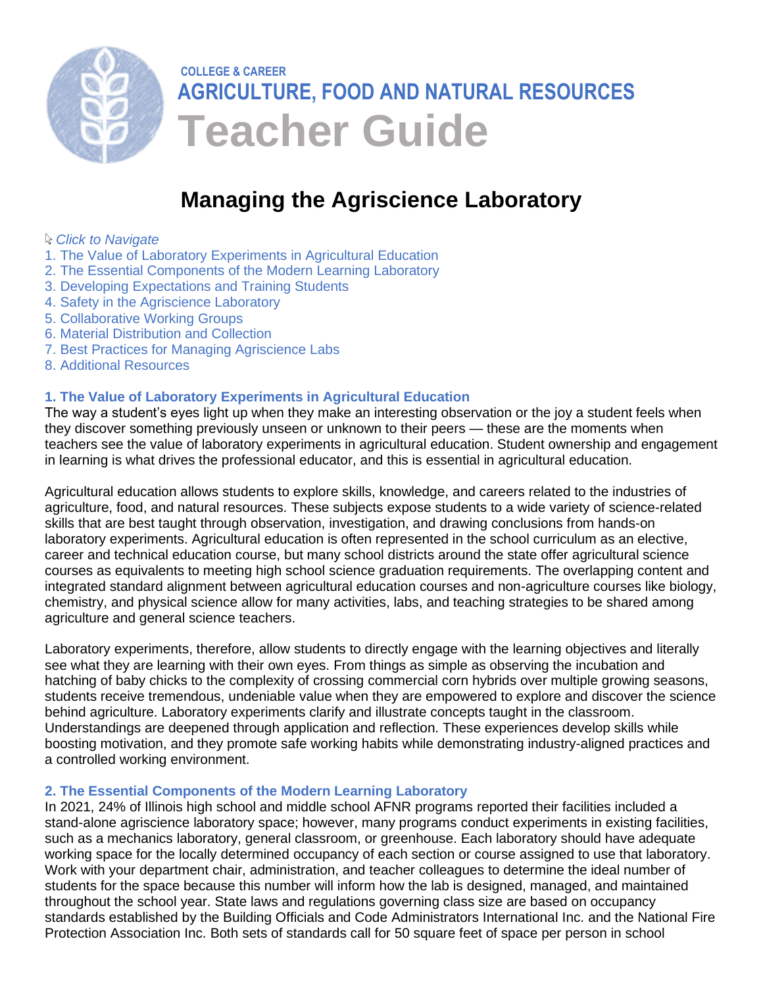

# **COLLEGE & CAREER AGRICULTURE, FOOD AND NATURAL RESOURCES Teacher Guide**

# **Managing the Agriscience [Laboratory](#page-0-0)**

#### <span id="page-0-0"></span>*Click to Navigate*

- 1. The Value of Laboratory Experiments in Agricultural Education
- [2. The Essential Components of the Modern Learning Laboratory](#page-0-1)
- [3. Developing Expectations and Training Students](#page-1-0)
- [4. Safety in the Agriscience Laboratory](#page-2-0)
- [5. Collaborative Working Groups](#page-2-1)
- [6. Material Distribution and Collection](#page-3-0)
- [7. Best Practices for Managing Agriscience Labs](#page-3-1)
- [8. Additional Resources](#page-4-0)

#### **[1. The Value of Laboratory Experiments in Agricultural Education](#page-0-0)**

The way a student's eyes light up when they make an interesting observation or the joy a student feels when they discover something previously unseen or unknown to their peers — these are the moments when teachers see the value of laboratory experiments in agricultural education. Student ownership and engagement in learning is what drives the professional educator, and this is essential in agricultural education.

Agricultural education allows students to explore skills, knowledge, and careers related to the industries of agriculture, food, and natural resources. These subjects expose students to a wide variety of science-related skills that are best taught through observation, investigation, and drawing conclusions from hands-on laboratory experiments. Agricultural education is often represented in the school curriculum as an elective, career and technical education course, but many school districts around the state offer agricultural science courses as equivalents to meeting high school science graduation requirements. The overlapping content and integrated standard alignment between agricultural education courses and non-agriculture courses like biology, chemistry, and physical science allow for many activities, labs, and teaching strategies to be shared among agriculture and general science teachers.

Laboratory experiments, therefore, allow students to directly engage with the learning objectives and literally see what they are learning with their own eyes. From things as simple as observing the incubation and hatching of baby chicks to the complexity of crossing commercial corn hybrids over multiple growing seasons, students receive tremendous, undeniable value when they are empowered to explore and discover the science behind agriculture. Laboratory experiments clarify and illustrate concepts taught in the classroom. Understandings are deepened through application and reflection. These experiences develop skills while boosting motivation, and they promote safe working habits while demonstrating industry-aligned practices and a controlled working environment.

### <span id="page-0-1"></span>**[2. The Essential Components of the Modern Learning Laboratory](#page-0-0)**

In 2021, 24% of Illinois high school and middle school AFNR programs reported their facilities included a stand-alone agriscience laboratory space; however, many programs conduct experiments in existing facilities, such as a mechanics laboratory, general classroom, or greenhouse. Each laboratory should have adequate working space for the locally determined occupancy of each section or course assigned to use that laboratory. Work with your department chair, administration, and teacher colleagues to determine the ideal number of students for the space because this number will inform how the lab is designed, managed, and maintained throughout the school year. State laws and regulations governing class size are based on occupancy standards established by the Building Officials and Code Administrators International Inc. and the National Fire Protection Association Inc. Both sets of standards call for 50 square feet of space per person in school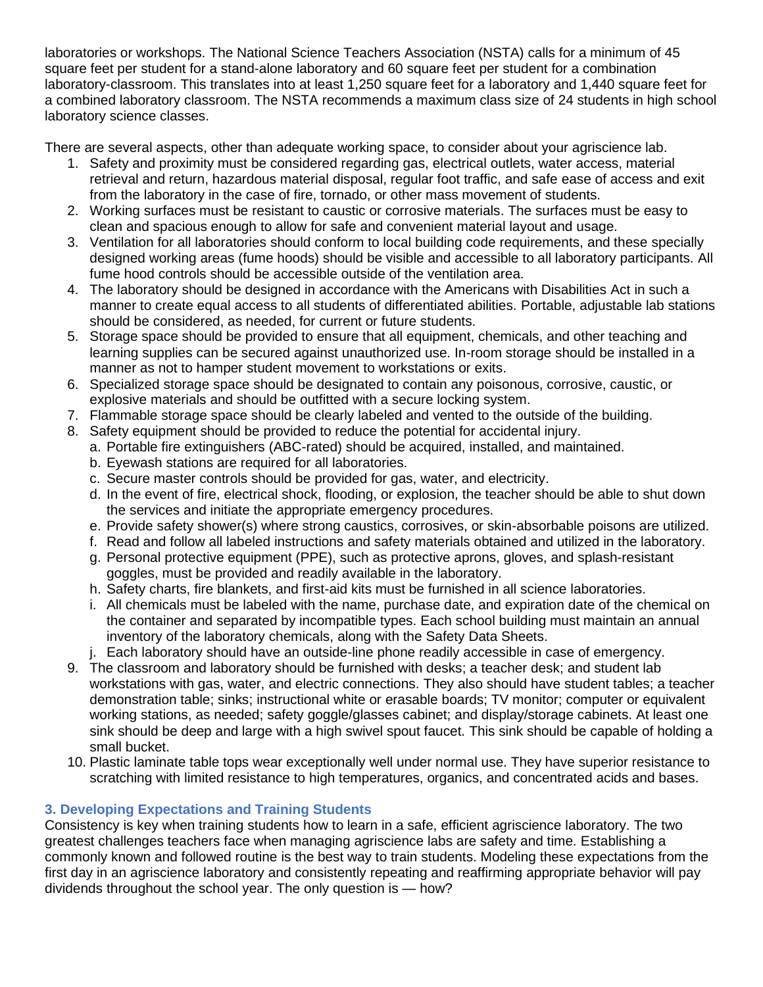laboratories or workshops. The National Science Teachers Association (NSTA) calls for a minimum of 45 square feet per student for a stand-alone laboratory and 60 square feet per student for a combination laboratory-classroom. This translates into at least 1,250 square feet for a laboratory and 1,440 square feet for a combined laboratory classroom. The NSTA recommends a maximum class size of 24 students in high school laboratory science classes.

There are several aspects, other than adequate working space, to consider about your agriscience lab.

- 1. Safety and proximity must be considered regarding gas, electrical outlets, water access, material retrieval and return, hazardous material disposal, regular foot traffic, and safe ease of access and exit from the laboratory in the case of fire, tornado, or other mass movement of students.
- 2. Working surfaces must be resistant to caustic or corrosive materials. The surfaces must be easy to clean and spacious enough to allow for safe and convenient material layout and usage.
- 3. Ventilation for all laboratories should conform to local building code requirements, and these specially designed working areas (fume hoods) should be visible and accessible to all laboratory participants. All fume hood controls should be accessible outside of the ventilation area.
- 4. The laboratory should be designed in accordance with the Americans with Disabilities Act in such a manner to create equal access to all students of differentiated abilities. Portable, adjustable lab stations should be considered, as needed, for current or future students.
- 5. Storage space should be provided to ensure that all equipment, chemicals, and other teaching and learning supplies can be secured against unauthorized use. In-room storage should be installed in a manner as not to hamper student movement to workstations or exits.
- 6. Specialized storage space should be designated to contain any poisonous, corrosive, caustic, or explosive materials and should be outfitted with a secure locking system.
- 7. Flammable storage space should be clearly labeled and vented to the outside of the building.
- 8. Safety equipment should be provided to reduce the potential for accidental injury.
	- a. Portable fire extinguishers (ABC-rated) should be acquired, installed, and maintained.
	- b. Eyewash stations are required for all laboratories.
	- c. Secure master controls should be provided for gas, water, and electricity.
	- d. In the event of fire, electrical shock, flooding, or explosion, the teacher should be able to shut down the services and initiate the appropriate emergency procedures.
	- e. Provide safety shower(s) where strong caustics, corrosives, or skin-absorbable poisons are utilized.
	- f. Read and follow all labeled instructions and safety materials obtained and utilized in the laboratory.
	- g. Personal protective equipment (PPE), such as protective aprons, gloves, and splash-resistant goggles, must be provided and readily available in the laboratory.
	- h. Safety charts, fire blankets, and first-aid kits must be furnished in all science laboratories.
	- i. All chemicals must be labeled with the name, purchase date, and expiration date of the chemical on the container and separated by incompatible types. Each school building must maintain an annual inventory of the laboratory chemicals, along with the Safety Data Sheets.
	- j. Each laboratory should have an outside-line phone readily accessible in case of emergency.
- 9. The classroom and laboratory should be furnished with desks; a teacher desk; and student lab workstations with gas, water, and electric connections. They also should have student tables; a teacher demonstration table; sinks; instructional white or erasable boards; TV monitor; computer or equivalent working stations, as needed; safety goggle/glasses cabinet; and display/storage cabinets. At least one sink should be deep and large with a high swivel spout faucet. This sink should be capable of holding a small bucket.
- 10. Plastic laminate table tops wear exceptionally well under normal use. They have superior resistance to scratching with limited resistance to high temperatures, organics, and concentrated acids and bases.

# <span id="page-1-0"></span>**[3. Developing Expectations and Training Students](#page-0-0)**

Consistency is key when training students how to learn in a safe, efficient agriscience laboratory. The two greatest challenges teachers face when managing agriscience labs are safety and time. Establishing a commonly known and followed routine is the best way to train students. Modeling these expectations from the first day in an agriscience laboratory and consistently repeating and reaffirming appropriate behavior will pay dividends throughout the school year. The only question is — how?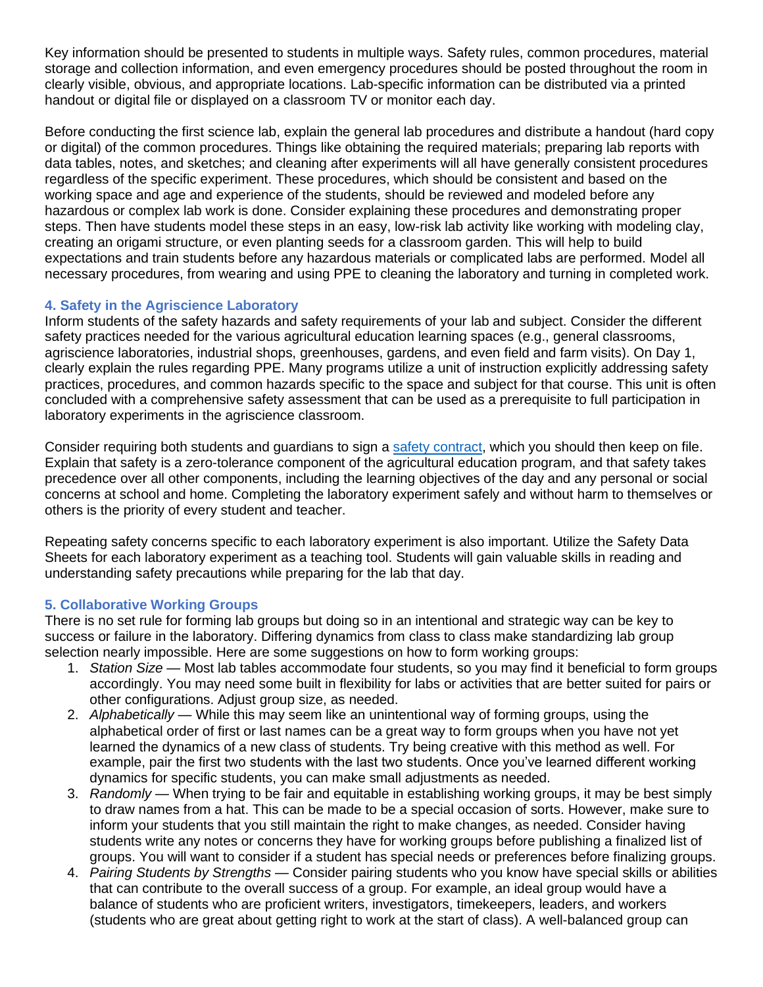Key information should be presented to students in multiple ways. Safety rules, common procedures, material storage and collection information, and even emergency procedures should be posted throughout the room in clearly visible, obvious, and appropriate locations. Lab-specific information can be distributed via a printed handout or digital file or displayed on a classroom TV or monitor each day.

Before conducting the first science lab, explain the general lab procedures and distribute a handout (hard copy or digital) of the common procedures. Things like obtaining the required materials; preparing lab reports with data tables, notes, and sketches; and cleaning after experiments will all have generally consistent procedures regardless of the specific experiment. These procedures, which should be consistent and based on the working space and age and experience of the students, should be reviewed and modeled before any hazardous or complex lab work is done. Consider explaining these procedures and demonstrating proper steps. Then have students model these steps in an easy, low-risk lab activity like working with modeling clay, creating an origami structure, or even planting seeds for a classroom garden. This will help to build expectations and train students before any hazardous materials or complicated labs are performed. Model all necessary procedures, from wearing and using PPE to cleaning the laboratory and turning in completed work.

# <span id="page-2-0"></span>**[4. Safety in the Agriscience Laboratory](#page-0-0)**

Inform students of the safety hazards and safety requirements of your lab and subject. Consider the different safety practices needed for the various agricultural education learning spaces (e.g., general classrooms, agriscience laboratories, industrial shops, greenhouses, gardens, and even field and farm visits). On Day 1, clearly explain the rules regarding PPE. Many programs utilize a unit of instruction explicitly addressing safety practices, procedures, and common hazards specific to the space and subject for that course. This unit is often concluded with a comprehensive safety assessment that can be used as a prerequisite to full participation in laboratory experiments in the agriscience classroom.

Consider requiring both students and quardians to sign a [safety contract,](https://www.carolina.com/pdf/activities-articles/Student-Safety-Contract.pdf) which you should then keep on file. Explain that safety is a zero-tolerance component of the agricultural education program, and that safety takes precedence over all other components, including the learning objectives of the day and any personal or social concerns at school and home. Completing the laboratory experiment safely and without harm to themselves or others is the priority of every student and teacher.

Repeating safety concerns specific to each laboratory experiment is also important. Utilize the Safety Data Sheets for each laboratory experiment as a teaching tool. Students will gain valuable skills in reading and understanding safety precautions while preparing for the lab that day.

# <span id="page-2-1"></span>**[5. Collaborative Working Groups](#page-0-0)**

There is no set rule for forming lab groups but doing so in an intentional and strategic way can be key to success or failure in the laboratory. Differing dynamics from class to class make standardizing lab group selection nearly impossible. Here are some suggestions on how to form working groups:

- 1. *Station Size* Most lab tables accommodate four students, so you may find it beneficial to form groups accordingly. You may need some built in flexibility for labs or activities that are better suited for pairs or other configurations. Adjust group size, as needed.
- 2. *Alphabetically* While this may seem like an unintentional way of forming groups, using the alphabetical order of first or last names can be a great way to form groups when you have not yet learned the dynamics of a new class of students. Try being creative with this method as well. For example, pair the first two students with the last two students. Once you've learned different working dynamics for specific students, you can make small adjustments as needed.
- 3. *Randomly* When trying to be fair and equitable in establishing working groups, it may be best simply to draw names from a hat. This can be made to be a special occasion of sorts. However, make sure to inform your students that you still maintain the right to make changes, as needed. Consider having students write any notes or concerns they have for working groups before publishing a finalized list of groups. You will want to consider if a student has special needs or preferences before finalizing groups.
- 4. *Pairing Students by Strengths* Consider pairing students who you know have special skills or abilities that can contribute to the overall success of a group. For example, an ideal group would have a balance of students who are proficient writers, investigators, timekeepers, leaders, and workers (students who are great about getting right to work at the start of class). A well-balanced group can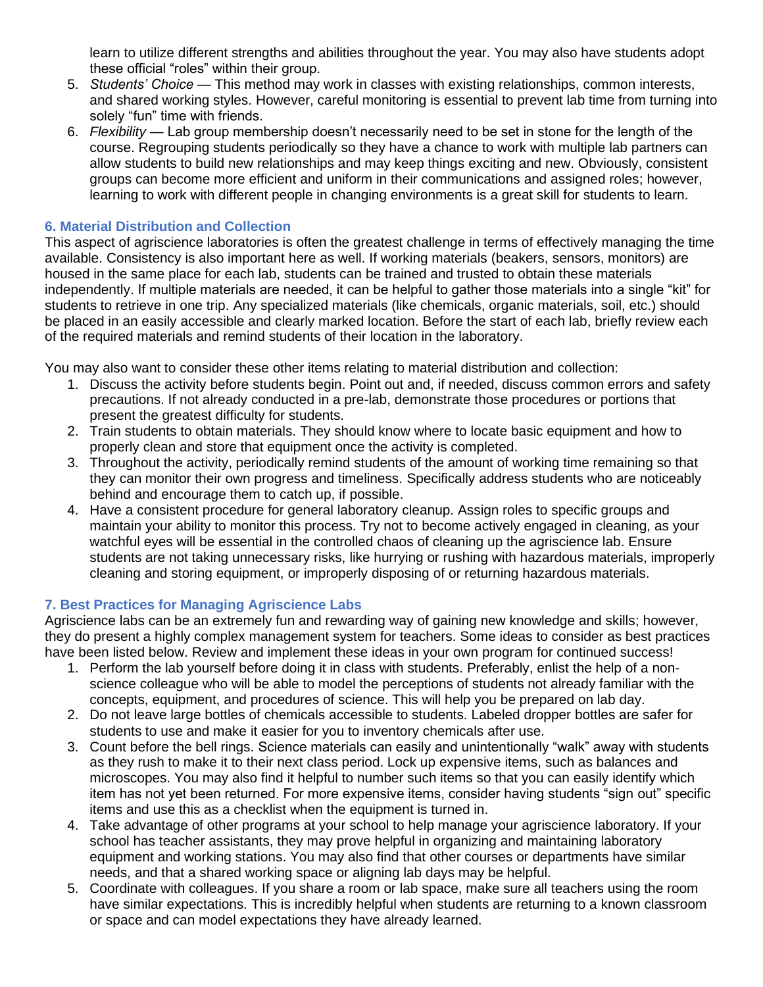learn to utilize different strengths and abilities throughout the year. You may also have students adopt these official "roles" within their group.

- 5. *Students' Choice* This method may work in classes with existing relationships, common interests, and shared working styles. However, careful monitoring is essential to prevent lab time from turning into solely "fun" time with friends.
- 6. *Flexibility* Lab group membership doesn't necessarily need to be set in stone for the length of the course. Regrouping students periodically so they have a chance to work with multiple lab partners can allow students to build new relationships and may keep things exciting and new. Obviously, consistent groups can become more efficient and uniform in their communications and assigned roles; however, learning to work with different people in changing environments is a great skill for students to learn.

## <span id="page-3-0"></span>**[6. Material Distribution and Collection](#page-0-0)**

This aspect of agriscience laboratories is often the greatest challenge in terms of effectively managing the time available. Consistency is also important here as well. If working materials (beakers, sensors, monitors) are housed in the same place for each lab, students can be trained and trusted to obtain these materials independently. If multiple materials are needed, it can be helpful to gather those materials into a single "kit" for students to retrieve in one trip. Any specialized materials (like chemicals, organic materials, soil, etc.) should be placed in an easily accessible and clearly marked location. Before the start of each lab, briefly review each of the required materials and remind students of their location in the laboratory.

You may also want to consider these other items relating to material distribution and collection:

- 1. Discuss the activity before students begin. Point out and, if needed, discuss common errors and safety precautions. If not already conducted in a pre-lab, demonstrate those procedures or portions that present the greatest difficulty for students.
- 2. Train students to obtain materials. They should know where to locate basic equipment and how to properly clean and store that equipment once the activity is completed.
- 3. Throughout the activity, periodically remind students of the amount of working time remaining so that they can monitor their own progress and timeliness. Specifically address students who are noticeably behind and encourage them to catch up, if possible.
- 4. Have a consistent procedure for general laboratory cleanup. Assign roles to specific groups and maintain your ability to monitor this process. Try not to become actively engaged in cleaning, as your watchful eyes will be essential in the controlled chaos of cleaning up the agriscience lab. Ensure students are not taking unnecessary risks, like hurrying or rushing with hazardous materials, improperly cleaning and storing equipment, or improperly disposing of or returning hazardous materials.

### <span id="page-3-1"></span>**[7. Best Practices for Managing Agriscience Labs](#page-0-0)**

Agriscience labs can be an extremely fun and rewarding way of gaining new knowledge and skills; however, they do present a highly complex management system for teachers. Some ideas to consider as best practices have been listed below. Review and implement these ideas in your own program for continued success!

- 1. Perform the lab yourself before doing it in class with students. Preferably, enlist the help of a nonscience colleague who will be able to model the perceptions of students not already familiar with the concepts, equipment, and procedures of science. This will help you be prepared on lab day.
- 2. Do not leave large bottles of chemicals accessible to students. Labeled dropper bottles are safer for students to use and make it easier for you to inventory chemicals after use.
- 3. Count before the bell rings. Science materials can easily and unintentionally "walk" away with students as they rush to make it to their next class period. Lock up expensive items, such as balances and microscopes. You may also find it helpful to number such items so that you can easily identify which item has not yet been returned. For more expensive items, consider having students "sign out" specific items and use this as a checklist when the equipment is turned in.
- 4. Take advantage of other programs at your school to help manage your agriscience laboratory. If your school has teacher assistants, they may prove helpful in organizing and maintaining laboratory equipment and working stations. You may also find that other courses or departments have similar needs, and that a shared working space or aligning lab days may be helpful.
- 5. Coordinate with colleagues. If you share a room or lab space, make sure all teachers using the room have similar expectations. This is incredibly helpful when students are returning to a known classroom or space and can model expectations they have already learned.